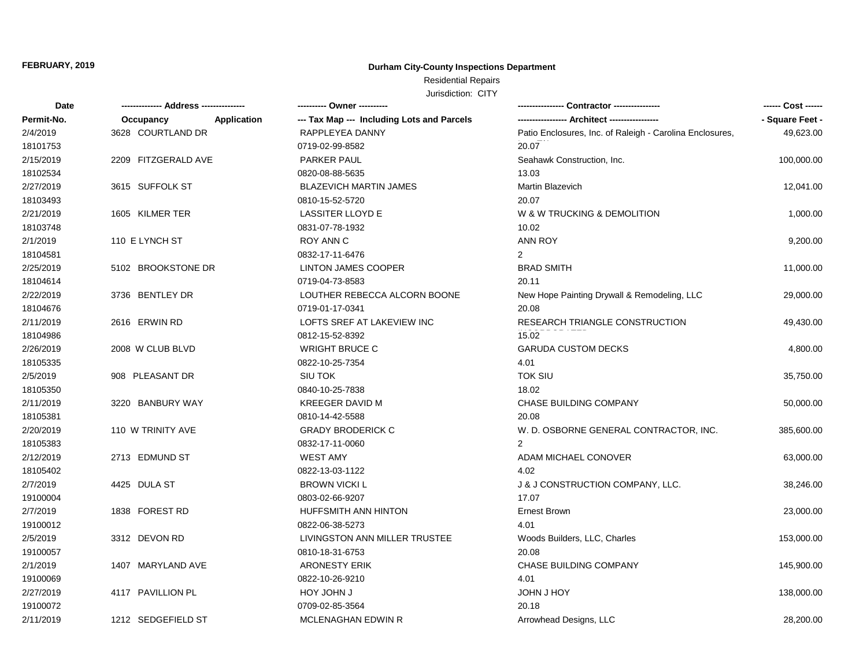## **Durham City-County Inspections Department**

# Residential Repairs

| Date       |                     |             | ---------- Owner ----------                |                                                          | ------ Cost ------ |
|------------|---------------------|-------------|--------------------------------------------|----------------------------------------------------------|--------------------|
| Permit-No. | Occupancy           | Application | --- Tax Map --- Including Lots and Parcels |                                                          | - Square Feet -    |
| 2/4/2019   | 3628 COURTLAND DR   |             | RAPPLEYEA DANNY                            | Patio Enclosures, Inc. of Raleigh - Carolina Enclosures, | 49,623.00          |
| 18101753   |                     |             | 0719-02-99-8582                            | 20.07                                                    |                    |
| 2/15/2019  | 2209 FITZGERALD AVE |             | PARKER PAUL                                | Seahawk Construction, Inc.                               | 100,000.00         |
| 18102534   |                     |             | 0820-08-88-5635                            | 13.03                                                    |                    |
| 2/27/2019  | 3615 SUFFOLK ST     |             | <b>BLAZEVICH MARTIN JAMES</b>              | Martin Blazevich                                         | 12,041.00          |
| 18103493   |                     |             | 0810-15-52-5720                            | 20.07                                                    |                    |
| 2/21/2019  | 1605 KILMER TER     |             | <b>LASSITER LLOYD E</b>                    | W & W TRUCKING & DEMOLITION                              | 1,000.00           |
| 18103748   |                     |             | 0831-07-78-1932                            | 10.02                                                    |                    |
| 2/1/2019   | 110 E LYNCH ST      |             | <b>ROY ANN C</b>                           | <b>ANN ROY</b>                                           | 9,200.00           |
| 18104581   |                     |             | 0832-17-11-6476                            | $\overline{2}$                                           |                    |
| 2/25/2019  | 5102 BROOKSTONE DR  |             | <b>LINTON JAMES COOPER</b>                 | <b>BRAD SMITH</b>                                        | 11,000.00          |
| 18104614   |                     |             | 0719-04-73-8583                            | 20.11                                                    |                    |
| 2/22/2019  | 3736 BENTLEY DR     |             | LOUTHER REBECCA ALCORN BOONE               | New Hope Painting Drywall & Remodeling, LLC              | 29,000.00          |
| 18104676   |                     |             | 0719-01-17-0341                            | 20.08                                                    |                    |
| 2/11/2019  | 2616 ERWIN RD       |             | LOFTS SREF AT LAKEVIEW INC                 | RESEARCH TRIANGLE CONSTRUCTION                           | 49,430.00          |
| 18104986   |                     |             | 0812-15-52-8392                            | 15.02                                                    |                    |
| 2/26/2019  | 2008 W CLUB BLVD    |             | <b>WRIGHT BRUCE C</b>                      | <b>GARUDA CUSTOM DECKS</b>                               | 4,800.00           |
| 18105335   |                     |             | 0822-10-25-7354                            | 4.01                                                     |                    |
| 2/5/2019   | 908 PLEASANT DR     |             | SIU TOK                                    | <b>TOK SIU</b>                                           | 35,750.00          |
| 18105350   |                     |             | 0840-10-25-7838                            | 18.02                                                    |                    |
| 2/11/2019  | 3220 BANBURY WAY    |             | <b>KREEGER DAVID M</b>                     | <b>CHASE BUILDING COMPANY</b>                            | 50,000.00          |
| 18105381   |                     |             | 0810-14-42-5588                            | 20.08                                                    |                    |
| 2/20/2019  | 110 W TRINITY AVE   |             | <b>GRADY BRODERICK C</b>                   | W. D. OSBORNE GENERAL CONTRACTOR, INC.                   | 385,600.00         |
| 18105383   |                     |             | 0832-17-11-0060                            | $\mathcal{P}$                                            |                    |
| 2/12/2019  | 2713 EDMUND ST      |             | <b>WEST AMY</b>                            | ADAM MICHAEL CONOVER                                     | 63,000.00          |
| 18105402   |                     |             | 0822-13-03-1122                            | 4.02                                                     |                    |
| 2/7/2019   | 4425 DULA ST        |             | <b>BROWN VICKI L</b>                       | J & J CONSTRUCTION COMPANY, LLC.                         | 38,246.00          |
| 19100004   |                     |             | 0803-02-66-9207                            | 17.07                                                    |                    |
| 2/7/2019   | 1838 FOREST RD      |             | <b>HUFFSMITH ANN HINTON</b>                | <b>Ernest Brown</b>                                      | 23,000.00          |
| 19100012   |                     |             | 0822-06-38-5273                            | 4.01                                                     |                    |
| 2/5/2019   | 3312 DEVON RD       |             | LIVINGSTON ANN MILLER TRUSTEE              | Woods Builders, LLC, Charles                             | 153,000.00         |
| 19100057   |                     |             | 0810-18-31-6753                            | 20.08                                                    |                    |
| 2/1/2019   | 1407 MARYLAND AVE   |             | <b>ARONESTY ERIK</b>                       | <b>CHASE BUILDING COMPANY</b>                            | 145,900.00         |
| 19100069   |                     |             | 0822-10-26-9210                            | 4.01                                                     |                    |
| 2/27/2019  | 4117 PAVILLION PL   |             | HOY JOHN J                                 | JOHN J HOY                                               | 138,000.00         |
| 19100072   |                     |             | 0709-02-85-3564                            | 20.18                                                    |                    |
| 2/11/2019  | 1212 SEDGEFIELD ST  |             | <b>MCLENAGHAN EDWIN R</b>                  | Arrowhead Designs, LLC                                   | 28,200.00          |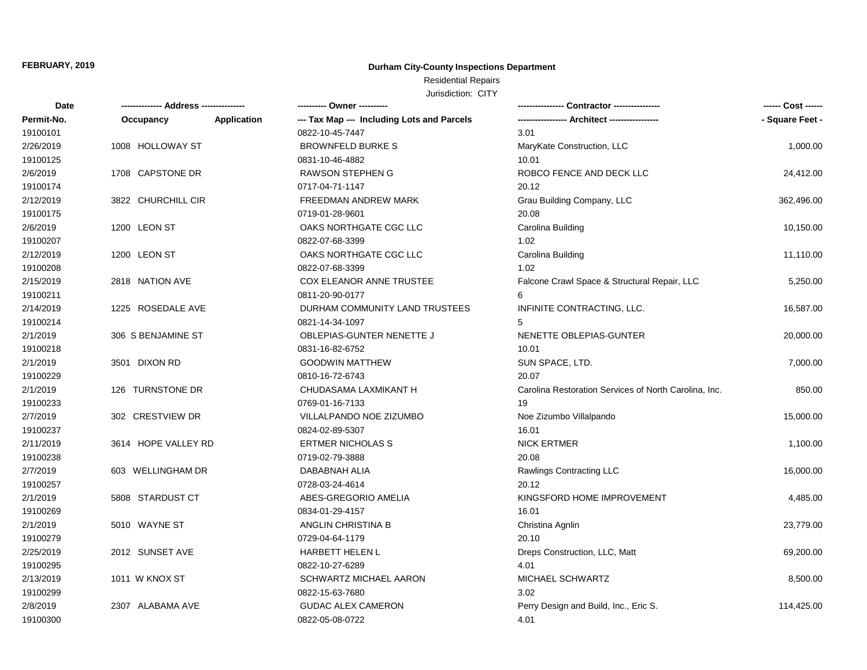## **Durham City-County Inspections Department**

## Residential Repairs

| Date       |                     |                    | ---------- Owner ----------                |                                                       | ------ Cost ------ |
|------------|---------------------|--------------------|--------------------------------------------|-------------------------------------------------------|--------------------|
| Permit-No. | Occupancy           | <b>Application</b> | --- Tax Map --- Including Lots and Parcels |                                                       | - Square Feet -    |
| 19100101   |                     |                    | 0822-10-45-7447                            | 3.01                                                  |                    |
| 2/26/2019  | 1008 HOLLOWAY ST    |                    | <b>BROWNFELD BURKE S</b>                   | MaryKate Construction, LLC                            | 1,000.00           |
| 19100125   |                     |                    | 0831-10-46-4882                            | 10.01                                                 |                    |
| 2/6/2019   | 1708 CAPSTONE DR    |                    | RAWSON STEPHEN G                           | ROBCO FENCE AND DECK LLC                              | 24,412.00          |
| 19100174   |                     |                    | 0717-04-71-1147                            | 20.12                                                 |                    |
| 2/12/2019  | 3822 CHURCHILL CIR  |                    | FREEDMAN ANDREW MARK                       | Grau Building Company, LLC                            | 362,496.00         |
| 19100175   |                     |                    | 0719-01-28-9601                            | 20.08                                                 |                    |
| 2/6/2019   | 1200 LEON ST        |                    | OAKS NORTHGATE CGC LLC                     | Carolina Building                                     | 10,150.00          |
| 19100207   |                     |                    | 0822-07-68-3399                            | 1.02                                                  |                    |
| 2/12/2019  | 1200 LEON ST        |                    | OAKS NORTHGATE CGC LLC                     | Carolina Building                                     | 11,110.00          |
| 19100208   |                     |                    | 0822-07-68-3399                            | 1.02                                                  |                    |
| 2/15/2019  | 2818 NATION AVE     |                    | COX ELEANOR ANNE TRUSTEE                   | Falcone Crawl Space & Structural Repair, LLC          | 5,250.00           |
| 19100211   |                     |                    | 0811-20-90-0177                            | 6                                                     |                    |
| 2/14/2019  | 1225 ROSEDALE AVE   |                    | DURHAM COMMUNITY LAND TRUSTEES             | INFINITE CONTRACTING, LLC.                            | 16,587.00          |
| 19100214   |                     |                    | 0821-14-34-1097                            | 5                                                     |                    |
| 2/1/2019   | 306 S BENJAMINE ST  |                    | OBLEPIAS-GUNTER NENETTE J                  | NENETTE OBLEPIAS-GUNTER                               | 20,000.00          |
| 19100218   |                     |                    | 0831-16-82-6752                            | 10.01                                                 |                    |
| 2/1/2019   | 3501 DIXON RD       |                    | <b>GOODWIN MATTHEW</b>                     | SUN SPACE, LTD.                                       | 7,000.00           |
| 19100229   |                     |                    | 0810-16-72-6743                            | 20.07                                                 |                    |
| 2/1/2019   | 126 TURNSTONE DR    |                    | CHUDASAMA LAXMIKANT H                      | Carolina Restoration Services of North Carolina, Inc. | 850.00             |
| 19100233   |                     |                    | 0769-01-16-7133                            | 19                                                    |                    |
| 2/7/2019   | 302 CRESTVIEW DR    |                    | VILLALPANDO NOE ZIZUMBO                    | Noe Zizumbo Villalpando                               | 15,000.00          |
| 19100237   |                     |                    | 0824-02-89-5307                            | 16.01                                                 |                    |
| 2/11/2019  | 3614 HOPE VALLEY RD |                    | <b>ERTMER NICHOLAS S</b>                   | <b>NICK ERTMER</b>                                    | 1,100.00           |
| 19100238   |                     |                    | 0719-02-79-3888                            | 20.08                                                 |                    |
| 2/7/2019   | 603 WELLINGHAM DR   |                    | DABABNAH ALIA                              | Rawlings Contracting LLC                              | 16,000.00          |
| 19100257   |                     |                    | 0728-03-24-4614                            | 20.12                                                 |                    |
| 2/1/2019   | 5808 STARDUST CT    |                    | ABES-GREGORIO AMELIA                       | KINGSFORD HOME IMPROVEMENT                            | 4,485.00           |
| 19100269   |                     |                    | 0834-01-29-4157                            | 16.01                                                 |                    |
| 2/1/2019   | 5010 WAYNE ST       |                    | ANGLIN CHRISTINA B                         | Christina Agnlin                                      | 23,779.00          |
| 19100279   |                     |                    | 0729-04-64-1179                            | 20.10                                                 |                    |
| 2/25/2019  | 2012 SUNSET AVE     |                    | HARBETT HELEN L                            | Dreps Construction, LLC, Matt                         | 69,200.00          |
| 19100295   |                     |                    | 0822-10-27-6289                            | 4.01                                                  |                    |
| 2/13/2019  | 1011 W KNOX ST      |                    | SCHWARTZ MICHAEL AARON                     | MICHAEL SCHWARTZ                                      | 8,500.00           |
| 19100299   |                     |                    | 0822-15-63-7680                            | 3.02                                                  |                    |
| 2/8/2019   | 2307 ALABAMA AVE    |                    | <b>GUDAC ALEX CAMERON</b>                  | Perry Design and Build, Inc., Eric S.                 | 114,425.00         |
| 19100300   |                     |                    | 0822-05-08-0722                            | 4.01                                                  |                    |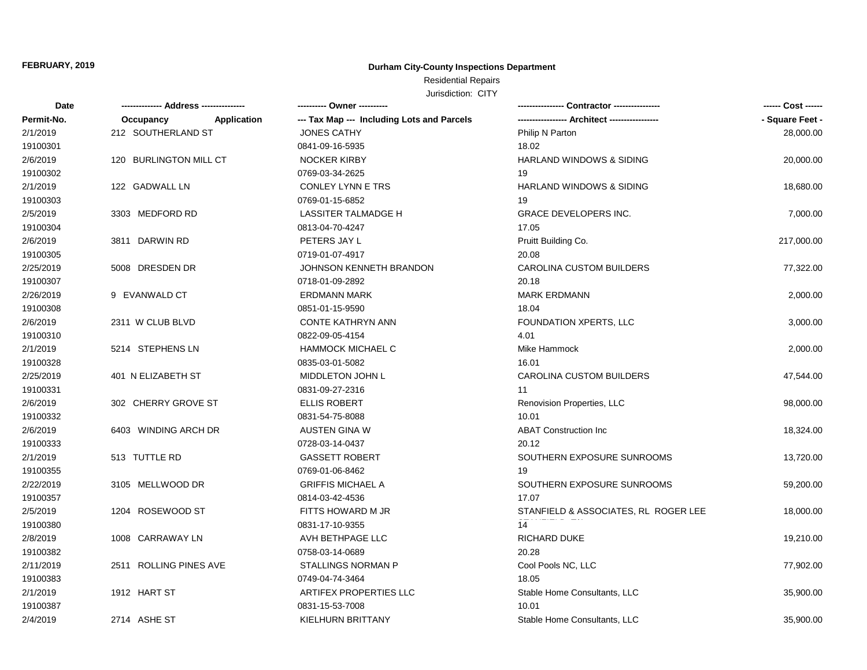## **Durham City-County Inspections Department**

# Residential Repairs

| Date       | -------------- Address --------------- | ---------- Owner ----------                |                                      | ------ Cost ------ |
|------------|----------------------------------------|--------------------------------------------|--------------------------------------|--------------------|
| Permit-No. | Application<br>Occupancy               | --- Tax Map --- Including Lots and Parcels |                                      | - Square Feet -    |
| 2/1/2019   | 212 SOUTHERLAND ST                     | <b>JONES CATHY</b>                         | Philip N Parton                      | 28,000.00          |
| 19100301   |                                        | 0841-09-16-5935                            | 18.02                                |                    |
| 2/6/2019   | 120 BURLINGTON MILL CT                 | <b>NOCKER KIRBY</b>                        | HARLAND WINDOWS & SIDING             | 20,000.00          |
| 19100302   |                                        | 0769-03-34-2625                            | 19                                   |                    |
| 2/1/2019   | 122 GADWALL LN                         | CONLEY LYNN E TRS                          | <b>HARLAND WINDOWS &amp; SIDING</b>  | 18,680.00          |
| 19100303   |                                        | 0769-01-15-6852                            | 19                                   |                    |
| 2/5/2019   | 3303 MEDFORD RD                        | <b>LASSITER TALMADGE H</b>                 | <b>GRACE DEVELOPERS INC.</b>         | 7,000.00           |
| 19100304   |                                        | 0813-04-70-4247                            | 17.05                                |                    |
| 2/6/2019   | 3811 DARWIN RD                         | PETERS JAY L                               | Pruitt Building Co.                  | 217,000.00         |
| 19100305   |                                        | 0719-01-07-4917                            | 20.08                                |                    |
| 2/25/2019  | 5008 DRESDEN DR                        | JOHNSON KENNETH BRANDON                    | CAROLINA CUSTOM BUILDERS             | 77,322.00          |
| 19100307   |                                        | 0718-01-09-2892                            | 20.18                                |                    |
| 2/26/2019  | 9 EVANWALD CT                          | <b>ERDMANN MARK</b>                        | <b>MARK ERDMANN</b>                  | 2,000.00           |
| 19100308   |                                        | 0851-01-15-9590                            | 18.04                                |                    |
| 2/6/2019   | 2311 W CLUB BLVD                       | <b>CONTE KATHRYN ANN</b>                   | FOUNDATION XPERTS, LLC               | 3,000.00           |
| 19100310   |                                        | 0822-09-05-4154                            | 4.01                                 |                    |
| 2/1/2019   | 5214 STEPHENS LN                       | <b>HAMMOCK MICHAEL C</b>                   | Mike Hammock                         | 2,000.00           |
| 19100328   |                                        | 0835-03-01-5082                            | 16.01                                |                    |
| 2/25/2019  | 401 N ELIZABETH ST                     | MIDDLETON JOHN L                           | CAROLINA CUSTOM BUILDERS             | 47,544.00          |
| 19100331   |                                        | 0831-09-27-2316                            | 11                                   |                    |
| 2/6/2019   | 302 CHERRY GROVE ST                    | <b>ELLIS ROBERT</b>                        | Renovision Properties, LLC           | 98,000.00          |
| 19100332   |                                        | 0831-54-75-8088                            | 10.01                                |                    |
| 2/6/2019   | 6403 WINDING ARCH DR                   | <b>AUSTEN GINA W</b>                       | <b>ABAT Construction Inc</b>         | 18,324.00          |
| 19100333   |                                        | 0728-03-14-0437                            | 20.12                                |                    |
| 2/1/2019   | 513 TUTTLE RD                          | <b>GASSETT ROBERT</b>                      | SOUTHERN EXPOSURE SUNROOMS           | 13,720.00          |
| 19100355   |                                        | 0769-01-06-8462                            | 19                                   |                    |
| 2/22/2019  | 3105 MELLWOOD DR                       | <b>GRIFFIS MICHAEL A</b>                   | SOUTHERN EXPOSURE SUNROOMS           | 59,200.00          |
| 19100357   |                                        | 0814-03-42-4536                            | 17.07                                |                    |
| 2/5/2019   | 1204 ROSEWOOD ST                       | FITTS HOWARD M JR                          | STANFIELD & ASSOCIATES, RL ROGER LEE | 18,000.00          |
| 19100380   |                                        | 0831-17-10-9355                            | 14                                   |                    |
| 2/8/2019   | 1008 CARRAWAY LN                       | AVH BETHPAGE LLC                           | RICHARD DUKE                         | 19,210.00          |
| 19100382   |                                        | 0758-03-14-0689                            | 20.28                                |                    |
| 2/11/2019  | 2511 ROLLING PINES AVE                 | <b>STALLINGS NORMAN P</b>                  | Cool Pools NC, LLC                   | 77,902.00          |
| 19100383   |                                        | 0749-04-74-3464                            | 18.05                                |                    |
| 2/1/2019   | 1912 HART ST                           | <b>ARTIFEX PROPERTIES LLC</b>              | Stable Home Consultants, LLC         | 35,900.00          |
| 19100387   |                                        | 0831-15-53-7008                            | 10.01                                |                    |
| 2/4/2019   | 2714 ASHE ST                           | KIELHURN BRITTANY                          | Stable Home Consultants, LLC         | 35,900.00          |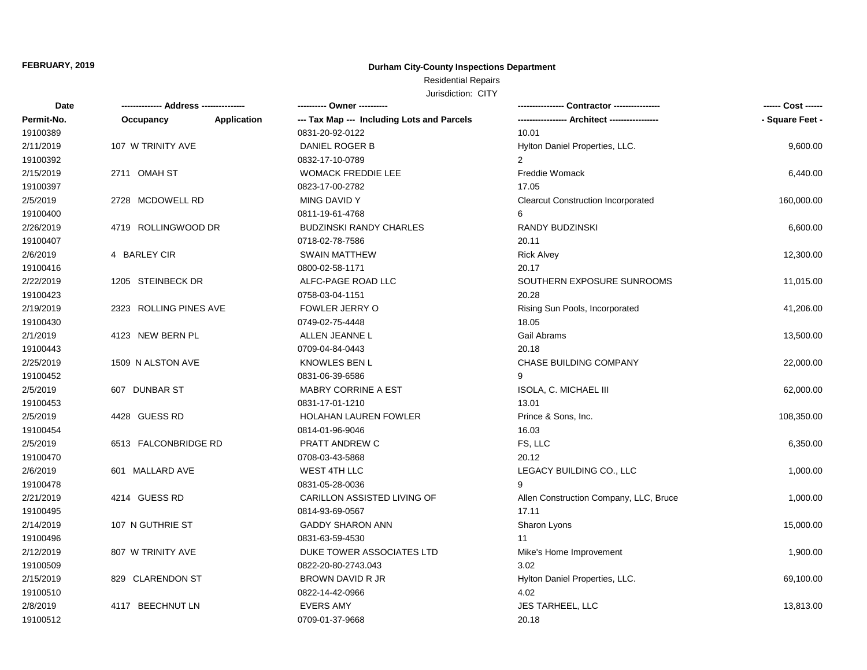## **Durham City-County Inspections Department**

## Residential Repairs

| Date       | -------------- Address --------------- |                    | ---------- Owner ----------                |                                           | ------ Cost ------ |
|------------|----------------------------------------|--------------------|--------------------------------------------|-------------------------------------------|--------------------|
| Permit-No. | Occupancy                              | <b>Application</b> | --- Tax Map --- Including Lots and Parcels |                                           | - Square Feet -    |
| 19100389   |                                        |                    | 0831-20-92-0122                            | 10.01                                     |                    |
| 2/11/2019  | 107 W TRINITY AVE                      |                    | DANIEL ROGER B                             | Hylton Daniel Properties, LLC.            | 9,600.00           |
| 19100392   |                                        |                    | 0832-17-10-0789                            | 2                                         |                    |
| 2/15/2019  | 2711 OMAH ST                           |                    | <b>WOMACK FREDDIE LEE</b>                  | <b>Freddie Womack</b>                     | 6,440.00           |
| 19100397   |                                        |                    | 0823-17-00-2782                            | 17.05                                     |                    |
| 2/5/2019   | 2728 MCDOWELL RD                       |                    | MING DAVID Y                               | <b>Clearcut Construction Incorporated</b> | 160,000.00         |
| 19100400   |                                        |                    | 0811-19-61-4768                            | 6                                         |                    |
| 2/26/2019  | 4719 ROLLINGWOOD DR                    |                    | <b>BUDZINSKI RANDY CHARLES</b>             | RANDY BUDZINSKI                           | 6,600.00           |
| 19100407   |                                        |                    | 0718-02-78-7586                            | 20.11                                     |                    |
| 2/6/2019   | 4 BARLEY CIR                           |                    | <b>SWAIN MATTHEW</b>                       | <b>Rick Alvey</b>                         | 12,300.00          |
| 19100416   |                                        |                    | 0800-02-58-1171                            | 20.17                                     |                    |
| 2/22/2019  | 1205 STEINBECK DR                      |                    | ALFC-PAGE ROAD LLC                         | SOUTHERN EXPOSURE SUNROOMS                | 11,015.00          |
| 19100423   |                                        |                    | 0758-03-04-1151                            | 20.28                                     |                    |
| 2/19/2019  | 2323 ROLLING PINES AVE                 |                    | FOWLER JERRY O                             | Rising Sun Pools, Incorporated            | 41,206.00          |
| 19100430   |                                        |                    | 0749-02-75-4448                            | 18.05                                     |                    |
| 2/1/2019   | 4123 NEW BERN PL                       |                    | ALLEN JEANNE L                             | Gail Abrams                               | 13,500.00          |
| 19100443   |                                        |                    | 0709-04-84-0443                            | 20.18                                     |                    |
| 2/25/2019  | 1509 N ALSTON AVE                      |                    | <b>KNOWLES BEN L</b>                       | <b>CHASE BUILDING COMPANY</b>             | 22,000.00          |
| 19100452   |                                        |                    | 0831-06-39-6586                            |                                           |                    |
| 2/5/2019   | 607 DUNBAR ST                          |                    | <b>MABRY CORRINE A EST</b>                 | ISOLA, C. MICHAEL III                     | 62,000.00          |
| 19100453   |                                        |                    | 0831-17-01-1210                            | 13.01                                     |                    |
| 2/5/2019   | 4428 GUESS RD                          |                    | HOLAHAN LAUREN FOWLER                      | Prince & Sons, Inc.                       | 108,350.00         |
| 19100454   |                                        |                    | 0814-01-96-9046                            | 16.03                                     |                    |
| 2/5/2019   | 6513 FALCONBRIDGE RD                   |                    | PRATT ANDREW C                             | FS, LLC                                   | 6,350.00           |
| 19100470   |                                        |                    | 0708-03-43-5868                            | 20.12                                     |                    |
| 2/6/2019   | 601 MALLARD AVE                        |                    | WEST 4TH LLC                               | LEGACY BUILDING CO., LLC                  | 1,000.00           |
| 19100478   |                                        |                    | 0831-05-28-0036                            | 9                                         |                    |
| 2/21/2019  | 4214 GUESS RD                          |                    | CARILLON ASSISTED LIVING OF                | Allen Construction Company, LLC, Bruce    | 1,000.00           |
| 19100495   |                                        |                    | 0814-93-69-0567                            | 17.11                                     |                    |
| 2/14/2019  | 107 N GUTHRIE ST                       |                    | <b>GADDY SHARON ANN</b>                    | Sharon Lyons                              | 15,000.00          |
| 19100496   |                                        |                    | 0831-63-59-4530                            | 11                                        |                    |
| 2/12/2019  | 807 W TRINITY AVE                      |                    | DUKE TOWER ASSOCIATES LTD                  | Mike's Home Improvement                   | 1,900.00           |
| 19100509   |                                        |                    | 0822-20-80-2743.043                        | 3.02                                      |                    |
| 2/15/2019  | 829 CLARENDON ST                       |                    | BROWN DAVID R JR                           | Hylton Daniel Properties, LLC.            | 69,100.00          |
| 19100510   |                                        |                    | 0822-14-42-0966                            | 4.02                                      |                    |
| 2/8/2019   | 4117 BEECHNUT LN                       |                    | <b>EVERS AMY</b>                           | <b>JES TARHEEL, LLC</b>                   | 13,813.00          |
| 19100512   |                                        |                    | 0709-01-37-9668                            | 20.18                                     |                    |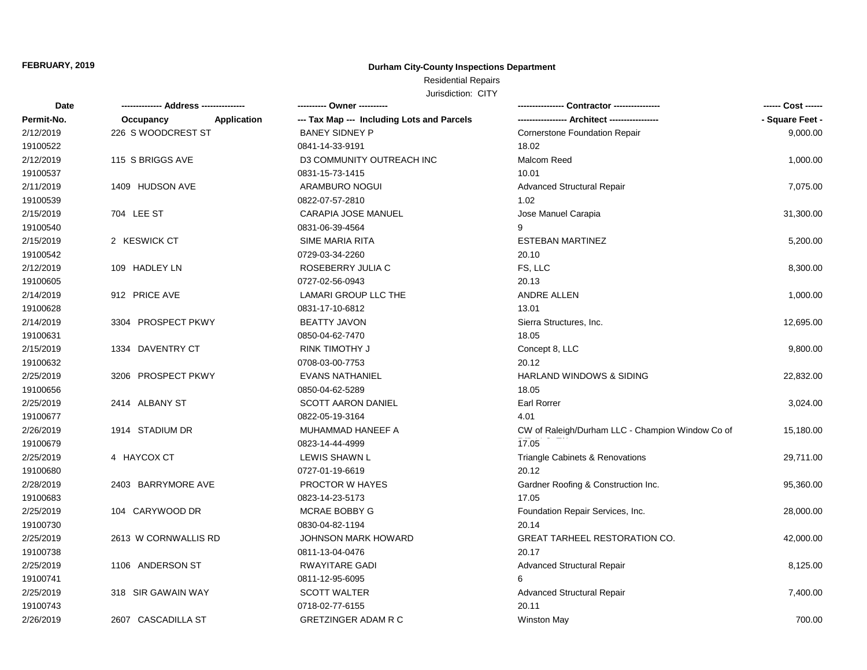## **Durham City-County Inspections Department**

## Residential Repairs

| Date       |                          | ---------- Owner ----------                |                                                  | ------ Cost ------ |
|------------|--------------------------|--------------------------------------------|--------------------------------------------------|--------------------|
| Permit-No. | Application<br>Occupancy | --- Tax Map --- Including Lots and Parcels |                                                  | - Square Feet -    |
| 2/12/2019  | 226 S WOODCREST ST       | <b>BANEY SIDNEY P</b>                      | <b>Cornerstone Foundation Repair</b>             | 9,000.00           |
| 19100522   |                          | 0841-14-33-9191                            | 18.02                                            |                    |
| 2/12/2019  | 115 S BRIGGS AVE         | D3 COMMUNITY OUTREACH INC                  | Malcom Reed                                      | 1,000.00           |
| 19100537   |                          | 0831-15-73-1415                            | 10.01                                            |                    |
| 2/11/2019  | 1409 HUDSON AVE          | ARAMBURO NOGUI                             | <b>Advanced Structural Repair</b>                | 7,075.00           |
| 19100539   |                          | 0822-07-57-2810                            | 1.02                                             |                    |
| 2/15/2019  | 704 LEE ST               | CARAPIA JOSE MANUEL                        | Jose Manuel Carapia                              | 31,300.00          |
| 19100540   |                          | 0831-06-39-4564                            |                                                  |                    |
| 2/15/2019  | 2 KESWICK CT             | SIME MARIA RITA                            | <b>ESTEBAN MARTINEZ</b>                          | 5,200.00           |
| 19100542   |                          | 0729-03-34-2260                            | 20.10                                            |                    |
| 2/12/2019  | 109 HADLEY LN            | ROSEBERRY JULIA C                          | FS, LLC                                          | 8,300.00           |
| 19100605   |                          | 0727-02-56-0943                            | 20.13                                            |                    |
| 2/14/2019  | 912 PRICE AVE            | LAMARI GROUP LLC THE                       | ANDRE ALLEN                                      | 1,000.00           |
| 19100628   |                          | 0831-17-10-6812                            | 13.01                                            |                    |
| 2/14/2019  | 3304 PROSPECT PKWY       | <b>BEATTY JAVON</b>                        | Sierra Structures, Inc.                          | 12,695.00          |
| 19100631   |                          | 0850-04-62-7470                            | 18.05                                            |                    |
| 2/15/2019  | 1334 DAVENTRY CT         | RINK TIMOTHY J                             | Concept 8, LLC                                   | 9,800.00           |
| 19100632   |                          | 0708-03-00-7753                            | 20.12                                            |                    |
| 2/25/2019  | 3206 PROSPECT PKWY       | <b>EVANS NATHANIEL</b>                     | HARLAND WINDOWS & SIDING                         | 22,832.00          |
| 19100656   |                          | 0850-04-62-5289                            | 18.05                                            |                    |
| 2/25/2019  | 2414 ALBANY ST           | <b>SCOTT AARON DANIEL</b>                  | <b>Earl Rorrer</b>                               | 3,024.00           |
| 19100677   |                          | 0822-05-19-3164                            | 4.01                                             |                    |
| 2/26/2019  | 1914 STADIUM DR          | MUHAMMAD HANEEF A                          | CW of Raleigh/Durham LLC - Champion Window Co of | 15,180.00          |
| 19100679   |                          | 0823-14-44-4999                            | 17.05                                            |                    |
| 2/25/2019  | 4 HAYCOX CT              | LEWIS SHAWN L                              | Triangle Cabinets & Renovations                  | 29,711.00          |
| 19100680   |                          | 0727-01-19-6619                            | 20.12                                            |                    |
| 2/28/2019  | 2403 BARRYMORE AVE       | PROCTOR W HAYES                            | Gardner Roofing & Construction Inc.              | 95,360.00          |
| 19100683   |                          | 0823-14-23-5173                            | 17.05                                            |                    |
| 2/25/2019  | 104 CARYWOOD DR          | MCRAE BOBBY G                              | Foundation Repair Services, Inc.                 | 28,000.00          |
| 19100730   |                          | 0830-04-82-1194                            | 20.14                                            |                    |
| 2/25/2019  | 2613 W CORNWALLIS RD     | <b>JOHNSON MARK HOWARD</b>                 | <b>GREAT TARHEEL RESTORATION CO.</b>             | 42,000.00          |
| 19100738   |                          | 0811-13-04-0476                            | 20.17                                            |                    |
| 2/25/2019  | 1106 ANDERSON ST         | RWAYITARE GADI                             | Advanced Structural Repair                       | 8,125.00           |
| 19100741   |                          | 0811-12-95-6095                            | 6                                                |                    |
| 2/25/2019  | 318 SIR GAWAIN WAY       | <b>SCOTT WALTER</b>                        | Advanced Structural Repair                       | 7,400.00           |
| 19100743   |                          | 0718-02-77-6155                            | 20.11                                            |                    |
| 2/26/2019  | 2607 CASCADILLA ST       | <b>GRETZINGER ADAM R C</b>                 | <b>Winston May</b>                               | 700.00             |